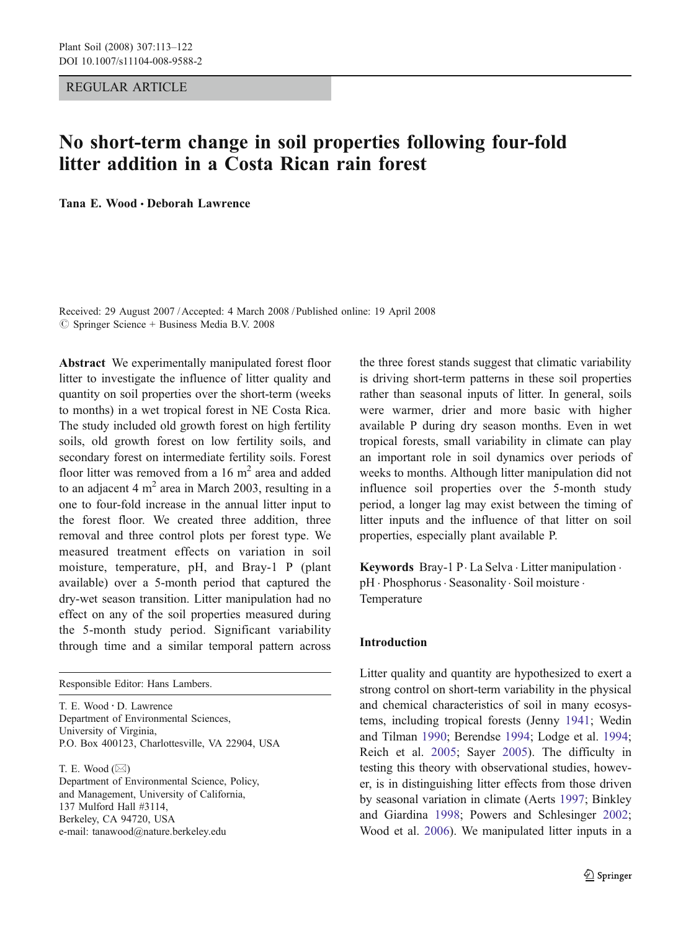REGULAR ARTICLE

# No short-term change in soil properties following four-fold litter addition in a Costa Rican rain forest

Tana E. Wood · Deborah Lawrence

Received: 29 August 2007 /Accepted: 4 March 2008 / Published online: 19 April 2008  $\oslash$  Springer Science + Business Media B.V. 2008

Abstract We experimentally manipulated forest floor litter to investigate the influence of litter quality and quantity on soil properties over the short-term (weeks to months) in a wet tropical forest in NE Costa Rica. The study included old growth forest on high fertility soils, old growth forest on low fertility soils, and secondary forest on intermediate fertility soils. Forest floor litter was removed from a  $16 \text{ m}^2$  area and added to an adjacent 4  $m<sup>2</sup>$  area in March 2003, resulting in a one to four-fold increase in the annual litter input to the forest floor. We created three addition, three removal and three control plots per forest type. We measured treatment effects on variation in soil moisture, temperature, pH, and Bray-1 P (plant available) over a 5-month period that captured the dry-wet season transition. Litter manipulation had no effect on any of the soil properties measured during the 5-month study period. Significant variability through time and a similar temporal pattern across

Responsible Editor: Hans Lambers.

T. E. Wood : D. Lawrence Department of Environmental Sciences, University of Virginia, P.O. Box 400123, Charlottesville, VA 22904, USA

T. E. Wood  $(\boxtimes)$ Department of Environmental Science, Policy, and Management, University of California, 137 Mulford Hall #3114, Berkeley, CA 94720, USA e-mail: tanawood@nature.berkeley.edu

the three forest stands suggest that climatic variability is driving short-term patterns in these soil properties rather than seasonal inputs of litter. In general, soils were warmer, drier and more basic with higher available P during dry season months. Even in wet tropical forests, small variability in climate can play an important role in soil dynamics over periods of weeks to months. Although litter manipulation did not influence soil properties over the 5-month study period, a longer lag may exist between the timing of litter inputs and the influence of that litter on soil properties, especially plant available P.

Keywords Bray-1 P. La Selva . Litter manipulation . pH · Phosphorus · Seasonality · Soil moisture · Temperature

## Introduction

Litter quality and quantity are hypothesized to exert a strong control on short-term variability in the physical and chemical characteristics of soil in many ecosystems, including tropical forests (Jenny [1941](#page-8-0); Wedin and Tilman [1990](#page-9-0); Berendse [1994](#page-8-0); Lodge et al. [1994](#page-8-0); Reich et al. [2005](#page-9-0); Sayer [2005](#page-9-0)). The difficulty in testing this theory with observational studies, however, is in distinguishing litter effects from those driven by seasonal variation in climate (Aerts [1997](#page-8-0); Binkley and Giardina [1998](#page-8-0); Powers and Schlesinger [2002](#page-8-0); Wood et al. [2006](#page-9-0)). We manipulated litter inputs in a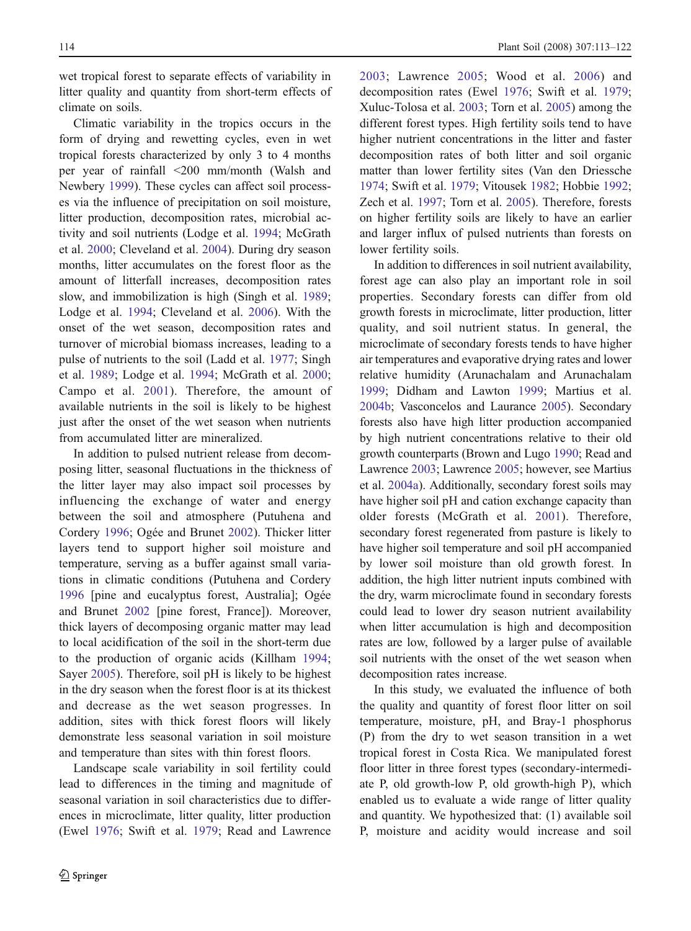wet tropical forest to separate effects of variability in litter quality and quantity from short-term effects of climate on soils.

Climatic variability in the tropics occurs in the form of drying and rewetting cycles, even in wet tropical forests characterized by only 3 to 4 months per year of rainfall <200 mm/month (Walsh and Newbery [1999](#page-9-0)). These cycles can affect soil processes via the influence of precipitation on soil moisture, litter production, decomposition rates, microbial activity and soil nutrients (Lodge et al. [1994](#page-8-0); McGrath et al. [2000](#page-8-0); Cleveland et al. [2004](#page-8-0)). During dry season months, litter accumulates on the forest floor as the amount of litterfall increases, decomposition rates slow, and immobilization is high (Singh et al. [1989](#page-9-0); Lodge et al. [1994](#page-8-0); Cleveland et al. [2006](#page-8-0)). With the onset of the wet season, decomposition rates and turnover of microbial biomass increases, leading to a pulse of nutrients to the soil (Ladd et al. [1977](#page-8-0); Singh et al. [1989](#page-9-0); Lodge et al. [1994](#page-8-0); McGrath et al. [2000](#page-8-0); Campo et al. [2001](#page-8-0)). Therefore, the amount of available nutrients in the soil is likely to be highest just after the onset of the wet season when nutrients from accumulated litter are mineralized.

In addition to pulsed nutrient release from decomposing litter, seasonal fluctuations in the thickness of the litter layer may also impact soil processes by influencing the exchange of water and energy between the soil and atmosphere (Putuhena and Cordery [1996](#page-8-0); Ogée and Brunet [2002](#page-8-0)). Thicker litter layers tend to support higher soil moisture and temperature, serving as a buffer against small variations in climatic conditions (Putuhena and Cordery [1996](#page-8-0) [pine and eucalyptus forest, Australia]; Ogée and Brunet [2002](#page-8-0) [pine forest, France]). Moreover, thick layers of decomposing organic matter may lead to local acidification of the soil in the short-term due to the production of organic acids (Killham [1994](#page-8-0); Sayer [2005](#page-9-0)). Therefore, soil pH is likely to be highest in the dry season when the forest floor is at its thickest and decrease as the wet season progresses. In addition, sites with thick forest floors will likely demonstrate less seasonal variation in soil moisture and temperature than sites with thin forest floors.

Landscape scale variability in soil fertility could lead to differences in the timing and magnitude of seasonal variation in soil characteristics due to differences in microclimate, litter quality, litter production (Ewel [1976](#page-8-0); Swift et al. [1979](#page-9-0); Read and Lawrence

[2003](#page-8-0); Lawrence [2005](#page-8-0); Wood et al. [2006](#page-9-0)) and decomposition rates (Ewel [1976](#page-8-0); Swift et al. [1979](#page-9-0); Xuluc-Tolosa et al. [2003](#page-9-0); Torn et al. [2005](#page-9-0)) among the different forest types. High fertility soils tend to have higher nutrient concentrations in the litter and faster decomposition rates of both litter and soil organic matter than lower fertility sites (Van den Driessche [1974](#page-9-0); Swift et al. [1979](#page-9-0); Vitousek [1982](#page-9-0); Hobbie [1992](#page-8-0); Zech et al. [1997](#page-9-0); Torn et al. [2005](#page-9-0)). Therefore, forests on higher fertility soils are likely to have an earlier and larger influx of pulsed nutrients than forests on lower fertility soils.

In addition to differences in soil nutrient availability, forest age can also play an important role in soil properties. Secondary forests can differ from old growth forests in microclimate, litter production, litter quality, and soil nutrient status. In general, the microclimate of secondary forests tends to have higher air temperatures and evaporative drying rates and lower relative humidity (Arunachalam and Arunachalam [1999](#page-8-0); Didham and Lawton [1999](#page-8-0); Martius et al. [2004b](#page-8-0); Vasconcelos and Laurance [2005](#page-9-0)). Secondary forests also have high litter production accompanied by high nutrient concentrations relative to their old growth counterparts (Brown and Lugo [1990](#page-8-0); Read and Lawrence [2003](#page-8-0); Lawrence [2005](#page-8-0); however, see Martius et al. [2004a](#page-8-0)). Additionally, secondary forest soils may have higher soil pH and cation exchange capacity than older forests (McGrath et al. [2001](#page-8-0)). Therefore, secondary forest regenerated from pasture is likely to have higher soil temperature and soil pH accompanied by lower soil moisture than old growth forest. In addition, the high litter nutrient inputs combined with the dry, warm microclimate found in secondary forests could lead to lower dry season nutrient availability when litter accumulation is high and decomposition rates are low, followed by a larger pulse of available soil nutrients with the onset of the wet season when decomposition rates increase.

In this study, we evaluated the influence of both the quality and quantity of forest floor litter on soil temperature, moisture, pH, and Bray-1 phosphorus (P) from the dry to wet season transition in a wet tropical forest in Costa Rica. We manipulated forest floor litter in three forest types (secondary-intermediate P, old growth-low P, old growth-high P), which enabled us to evaluate a wide range of litter quality and quantity. We hypothesized that: (1) available soil P, moisture and acidity would increase and soil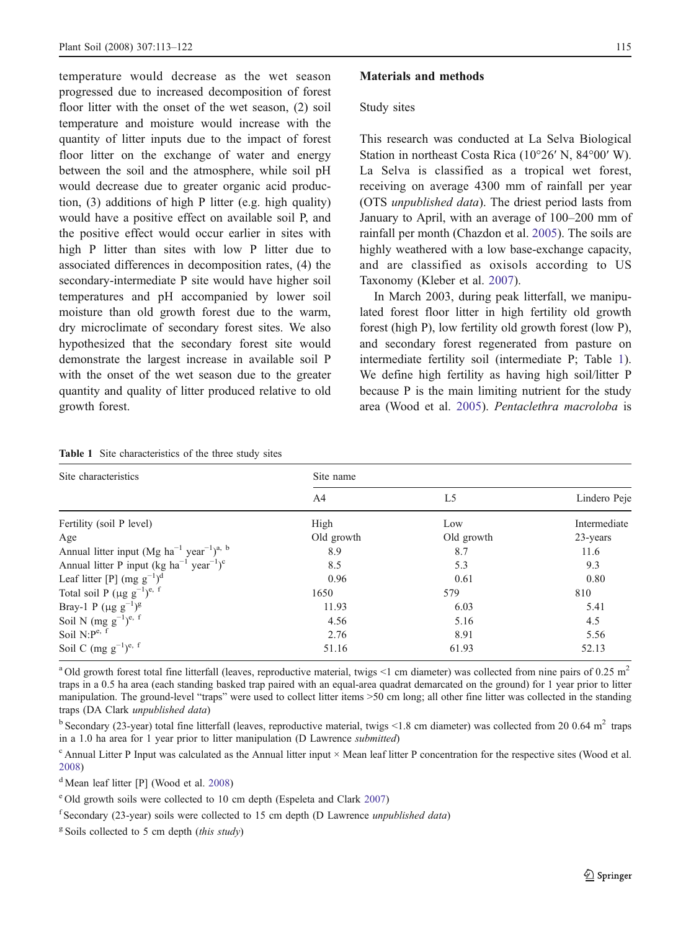<span id="page-2-0"></span>temperature would decrease as the wet season progressed due to increased decomposition of forest floor litter with the onset of the wet season, (2) soil temperature and moisture would increase with the quantity of litter inputs due to the impact of forest floor litter on the exchange of water and energy between the soil and the atmosphere, while soil pH would decrease due to greater organic acid production, (3) additions of high P litter (e.g. high quality) would have a positive effect on available soil P, and the positive effect would occur earlier in sites with high P litter than sites with low P litter due to associated differences in decomposition rates, (4) the secondary-intermediate P site would have higher soil temperatures and pH accompanied by lower soil moisture than old growth forest due to the warm, dry microclimate of secondary forest sites. We also hypothesized that the secondary forest site would demonstrate the largest increase in available soil P with the onset of the wet season due to the greater quantity and quality of litter produced relative to old growth forest.

# Materials and methods

#### Study sites

This research was conducted at La Selva Biological Station in northeast Costa Rica (10°26′ N, 84°00′ W). La Selva is classified as a tropical wet forest, receiving on average 4300 mm of rainfall per year (OTS unpublished data). The driest period lasts from January to April, with an average of 100–200 mm of rainfall per month (Chazdon et al. [2005](#page-8-0)). The soils are highly weathered with a low base-exchange capacity, and are classified as oxisols according to US Taxonomy (Kleber et al. [2007](#page-8-0)).

In March 2003, during peak litterfall, we manipulated forest floor litter in high fertility old growth forest (high P), low fertility old growth forest (low P), and secondary forest regenerated from pasture on intermediate fertility soil (intermediate P; Table 1). We define high fertility as having high soil/litter P because P is the main limiting nutrient for the study area (Wood et al. [2005](#page-9-0)). Pentaclethra macroloba is

| Site characteristics                                                         | Site name      |            |              |  |  |
|------------------------------------------------------------------------------|----------------|------------|--------------|--|--|
|                                                                              | A <sub>4</sub> | L5         | Lindero Peje |  |  |
| Fertility (soil P level)                                                     | High           | Low        | Intermediate |  |  |
| Age                                                                          | Old growth     | Old growth | 23-years     |  |  |
| Annual litter input (Mg $ha^{-1}$ year <sup>-1</sup> ) <sup>a, b</sup>       | 8.9            | 8.7        | 11.6         |  |  |
| Annual litter P input (kg ha <sup>-1</sup> year <sup>-1</sup> ) <sup>c</sup> | 8.5            | 5.3        | 9.3          |  |  |
| Leaf litter [P] $(mg g^{-1})^d$                                              | 0.96           | 0.61       | 0.80         |  |  |
| Total soil P ( $\mu$ g g <sup>-1</sup> ) <sup>e, f</sup>                     | 1650           | 579        | 810          |  |  |
| Bray-1 P $(\mu g g^{-1})^g$                                                  | 11.93          | 6.03       | 5.41         |  |  |
| Soil N (mg $g^{-1}$ ) <sup>e, f</sup>                                        | 4.56           | 5.16       | 4.5          |  |  |
| Soil $N: P^{e, f}$                                                           | 2.76           | 8.91       | 5.56         |  |  |
| Soil C $(mg g^{-1})^{e, f}$                                                  | 51.16          | 61.93      | 52.13        |  |  |

Table 1 Site characteristics of the three study sites

<sup>a</sup> Old growth forest total fine litterfall (leaves, reproductive material, twigs <1 cm diameter) was collected from nine pairs of 0.25 m<sup>2</sup> traps in a 0.5 ha area (each standing basked trap paired with an equal-area quadrat demarcated on the ground) for 1 year prior to litter manipulation. The ground-level "traps" were used to collect litter items >50 cm long; all other fine litter was collected in the standing traps (DA Clark unpublished data)

 $b$  Secondary (23-year) total fine litterfall (leaves, reproductive material, twigs <1.8 cm diameter) was collected from 20 0.64 m<sup>2</sup> traps in a 1.0 ha area for 1 year prior to litter manipulation (D Lawrence submitted)

 $c$  Annual Litter P Input was calculated as the Annual litter input  $\times$  Mean leaf litter P concentration for the respective sites (Wood et al. [2008](#page-9-0))

<sup>d</sup> Mean leaf litter [P] (Wood et al. [2008](#page-9-0))

<sup>e</sup> Old growth soils were collected to 10 cm depth (Espeleta and Clark [2007](#page-8-0))

 $f$ Secondary (23-year) soils were collected to 15 cm depth (D Lawrence unpublished data)

 $g$  Soils collected to 5 cm depth (this study)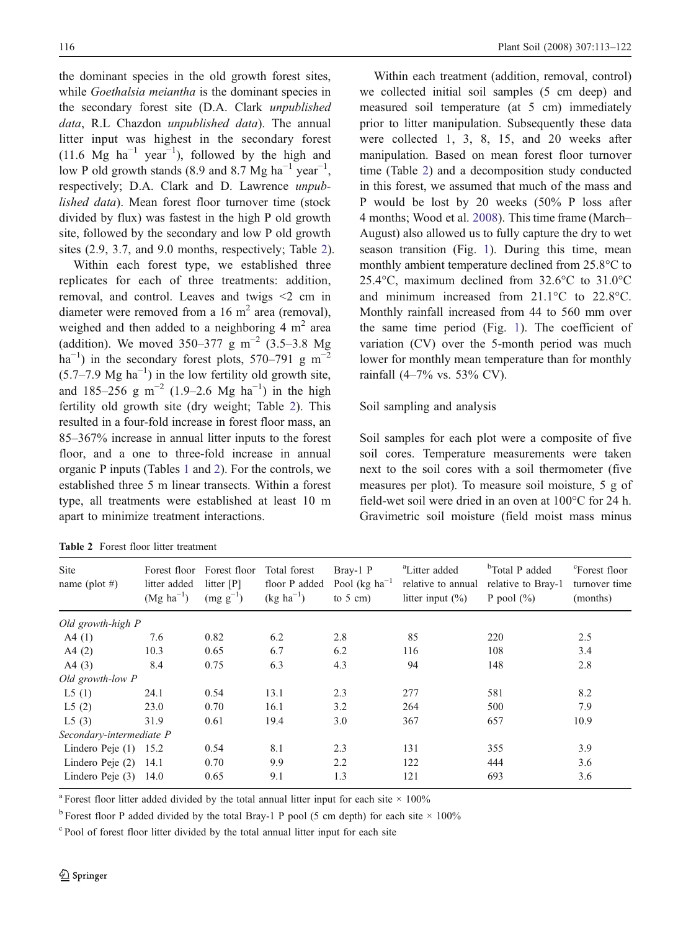<span id="page-3-0"></span>the dominant species in the old growth forest sites, while Goethalsia meiantha is the dominant species in the secondary forest site (D.A. Clark unpublished data, R.L Chazdon *unpublished data*). The annual litter input was highest in the secondary forest (11.6 Mg  $ha^{-1}$  year<sup>-1</sup>), followed by the high and low P old growth stands (8.9 and 8.7 Mg  $ha^{-1}$  year<sup>-1</sup>, respectively; D.A. Clark and D. Lawrence unpublished data). Mean forest floor turnover time (stock divided by flux) was fastest in the high P old growth site, followed by the secondary and low P old growth sites (2.9, 3.7, and 9.0 months, respectively; Table 2).

Within each forest type, we established three replicates for each of three treatments: addition, removal, and control. Leaves and twigs <2 cm in diameter were removed from a 16  $m<sup>2</sup>$  area (removal), weighed and then added to a neighboring  $4 \text{ m}^2$  area (addition). We moved 350–377 g m<sup>-2</sup> (3.5–3.8 Mg)  $\text{ha}^{-1}$ ) in the secondary forest plots, 570–791 g m<sup>-2</sup>  $(5.7–7.9 \text{ Mg ha}^{-1})$  in the low fertility old growth site, and 185–256 g m<sup>-2</sup> (1.9–2.6 Mg ha<sup>-1</sup>) in the high fertility old growth site (dry weight; Table 2). This resulted in a four-fold increase in forest floor mass, an 85–367% increase in annual litter inputs to the forest floor, and a one to three-fold increase in annual organic P inputs (Tables [1](#page-2-0) and 2). For the controls, we established three 5 m linear transects. Within a forest type, all treatments were established at least 10 m apart to minimize treatment interactions.

|  |  | <b>Table 2</b> Forest floor litter treatment |
|--|--|----------------------------------------------|
|  |  |                                              |

Within each treatment (addition, removal, control) we collected initial soil samples (5 cm deep) and measured soil temperature (at 5 cm) immediately prior to litter manipulation. Subsequently these data were collected 1, 3, 8, 15, and 20 weeks after manipulation. Based on mean forest floor turnover time (Table 2) and a decomposition study conducted in this forest, we assumed that much of the mass and P would be lost by 20 weeks (50% P loss after 4 months; Wood et al. [2008](#page-9-0)). This time frame (March– August) also allowed us to fully capture the dry to wet season transition (Fig. [1](#page-4-0)). During this time, mean monthly ambient temperature declined from 25.8°C to 25.4°C, maximum declined from 32.6°C to 31.0°C and minimum increased from 21.1°C to 22.8°C. Monthly rainfall increased from 44 to 560 mm over the same time period (Fig. [1](#page-4-0)). The coefficient of variation (CV) over the 5-month period was much lower for monthly mean temperature than for monthly rainfall (4–7% vs. 53% CV).

# Soil sampling and analysis

Soil samples for each plot were a composite of five soil cores. Temperature measurements were taken next to the soil cores with a soil thermometer (five measures per plot). To measure soil moisture, 5 g of field-wet soil were dried in an oven at 100°C for 24 h. Gravimetric soil moisture (field moist mass minus

| <b>Site</b><br>name (plot #) | Forest floor<br>litter added<br>$(Mg \text{ ha}^{-1})$ | Forest floor<br>litter [P]<br>$(mg g^{-1})$ | Total forest<br>floor P added<br>$(\text{kg ha}^{-1})$ | Bray-1 P<br>Pool ( $kg \text{ ha}^{-1}$<br>to $5 \text{ cm}$ ) | <sup>a</sup> Litter added<br>relative to annual<br>litter input $(\% )$ | <sup>b</sup> Total P added<br>relative to Bray-1<br>P pool $(\%)$ | <sup>c</sup> Forest floor<br>turnover time<br>(months) |
|------------------------------|--------------------------------------------------------|---------------------------------------------|--------------------------------------------------------|----------------------------------------------------------------|-------------------------------------------------------------------------|-------------------------------------------------------------------|--------------------------------------------------------|
| Old growth-high P            |                                                        |                                             |                                                        |                                                                |                                                                         |                                                                   |                                                        |
| A4(1)                        | 7.6                                                    | 0.82                                        | 6.2                                                    | 2.8                                                            | 85                                                                      | 220                                                               | 2.5                                                    |
| A4(2)                        | 10.3                                                   | 0.65                                        | 6.7                                                    | 6.2                                                            | 116                                                                     | 108                                                               | 3.4                                                    |
| A4(3)                        | 8.4                                                    | 0.75                                        | 6.3                                                    | 4.3                                                            | 94                                                                      | 148                                                               | 2.8                                                    |
| Old growth-low P             |                                                        |                                             |                                                        |                                                                |                                                                         |                                                                   |                                                        |
| L5(1)                        | 24.1                                                   | 0.54                                        | 13.1                                                   | 2.3                                                            | 277                                                                     | 581                                                               | 8.2                                                    |
| L5(2)                        | 23.0                                                   | 0.70                                        | 16.1                                                   | 3.2                                                            | 264                                                                     | 500                                                               | 7.9                                                    |
| L5(3)                        | 31.9                                                   | 0.61                                        | 19.4                                                   | 3.0                                                            | 367                                                                     | 657                                                               | 10.9                                                   |
| Secondary-intermediate P     |                                                        |                                             |                                                        |                                                                |                                                                         |                                                                   |                                                        |
| Lindero Peje $(1)$ 15.2      |                                                        | 0.54                                        | 8.1                                                    | 2.3                                                            | 131                                                                     | 355                                                               | 3.9                                                    |
| Lindero Peje (2)             | -14.1                                                  | 0.70                                        | 9.9                                                    | 2.2                                                            | 122                                                                     | 444                                                               | 3.6                                                    |
| Lindero Peje $(3)$ 14.0      |                                                        | 0.65                                        | 9.1                                                    | 1.3                                                            | 121                                                                     | 693                                                               | 3.6                                                    |

<sup>a</sup> Forest floor litter added divided by the total annual litter input for each site  $\times$  100%

<sup>b</sup> Forest floor P added divided by the total Bray-1 P pool (5 cm depth) for each site  $\times$  100%

<sup>c</sup> Pool of forest floor litter divided by the total annual litter input for each site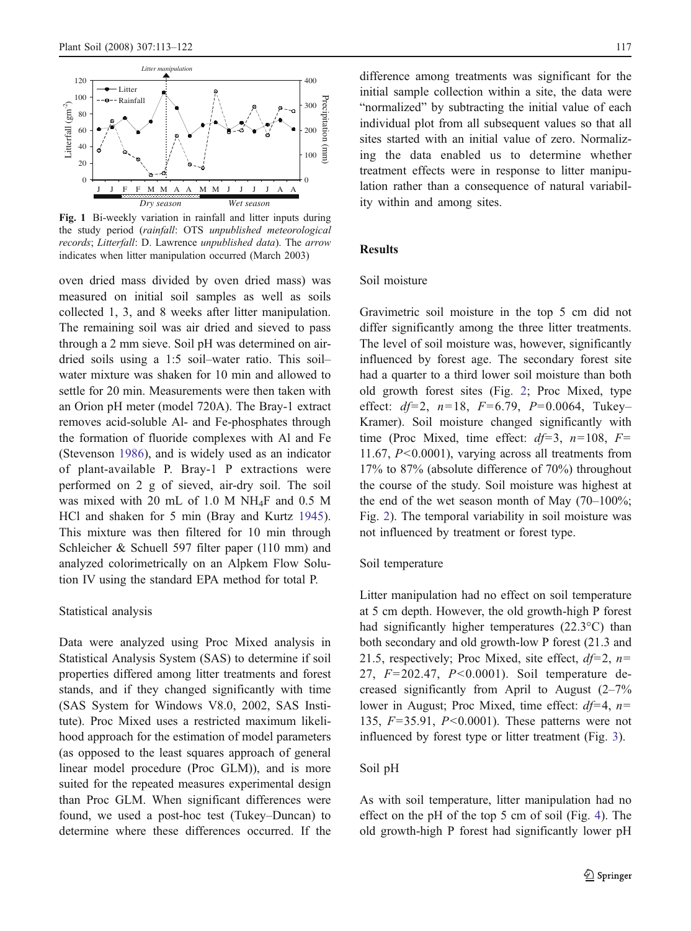<span id="page-4-0"></span>

Fig. 1 Bi-weekly variation in rainfall and litter inputs during the study period (rainfall: OTS unpublished meteorological records; Litterfall: D. Lawrence unpublished data). The arrow indicates when litter manipulation occurred (March 2003)

oven dried mass divided by oven dried mass) was measured on initial soil samples as well as soils collected 1, 3, and 8 weeks after litter manipulation. The remaining soil was air dried and sieved to pass through a 2 mm sieve. Soil pH was determined on airdried soils using a 1:5 soil–water ratio. This soil– water mixture was shaken for 10 min and allowed to settle for 20 min. Measurements were then taken with an Orion pH meter (model 720A). The Bray-1 extract removes acid-soluble Al- and Fe-phosphates through the formation of fluoride complexes with Al and Fe (Stevenson [1986](#page-9-0)), and is widely used as an indicator of plant-available P. Bray-1 P extractions were performed on 2 g of sieved, air-dry soil. The soil was mixed with 20 mL of 1.0 M NH4F and 0.5 M HCl and shaken for 5 min (Bray and Kurtz [1945](#page-8-0)). This mixture was then filtered for 10 min through Schleicher & Schuell 597 filter paper (110 mm) and analyzed colorimetrically on an Alpkem Flow Solution IV using the standard EPA method for total P.

#### Statistical analysis

Data were analyzed using Proc Mixed analysis in Statistical Analysis System (SAS) to determine if soil properties differed among litter treatments and forest stands, and if they changed significantly with time (SAS System for Windows V8.0, 2002, SAS Institute). Proc Mixed uses a restricted maximum likelihood approach for the estimation of model parameters (as opposed to the least squares approach of general linear model procedure (Proc GLM)), and is more suited for the repeated measures experimental design than Proc GLM. When significant differences were found, we used a post-hoc test (Tukey–Duncan) to determine where these differences occurred. If the

difference among treatments was significant for the initial sample collection within a site, the data were "normalized" by subtracting the initial value of each individual plot from all subsequent values so that all sites started with an initial value of zero. Normalizing the data enabled us to determine whether treatment effects were in response to litter manipulation rather than a consequence of natural variability within and among sites.

# **Results**

### Soil moisture

Gravimetric soil moisture in the top 5 cm did not differ significantly among the three litter treatments. The level of soil moisture was, however, significantly influenced by forest age. The secondary forest site had a quarter to a third lower soil moisture than both old growth forest sites (Fig. [2](#page-5-0); Proc Mixed, type effect:  $df=2$ ,  $n=18$ ,  $F=6.79$ ,  $P=0.0064$ , Tukey-Kramer). Soil moisture changed significantly with time (Proc Mixed, time effect:  $df=3$ ,  $n=108$ ,  $F=$ 11.67,  $P \le 0.0001$ ), varying across all treatments from 17% to 87% (absolute difference of 70%) throughout the course of the study. Soil moisture was highest at the end of the wet season month of May  $(70-100\%;$ Fig. [2](#page-5-0)). The temporal variability in soil moisture was not influenced by treatment or forest type.

### Soil temperature

Litter manipulation had no effect on soil temperature at 5 cm depth. However, the old growth-high P forest had significantly higher temperatures (22.3°C) than both secondary and old growth-low P forest (21.3 and 21.5, respectively; Proc Mixed, site effect,  $df=2$ ,  $n=$ 27, F=202.47, P<0.0001). Soil temperature decreased significantly from April to August (2–7% lower in August; Proc Mixed, time effect:  $df=4$ ,  $n=$ 135,  $F=35.91$ ,  $P<0.0001$ ). These patterns were not influenced by forest type or litter treatment (Fig. [3](#page-5-0)).

# Soil pH

As with soil temperature, litter manipulation had no effect on the pH of the top 5 cm of soil (Fig. [4](#page-6-0)). The old growth-high P forest had significantly lower pH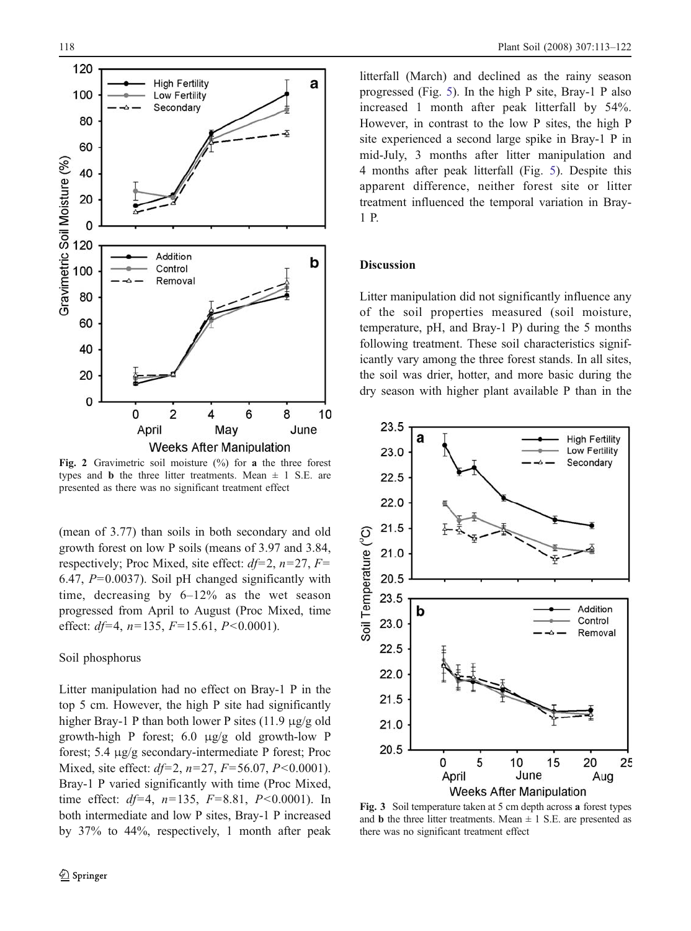<span id="page-5-0"></span>

Fig. 2 Gravimetric soil moisture  $\frac{1}{2}$  for a the three forest types and **b** the three litter treatments. Mean  $\pm$  1 S.E. are presented as there was no significant treatment effect

(mean of 3.77) than soils in both secondary and old growth forest on low P soils (means of 3.97 and 3.84, respectively; Proc Mixed, site effect:  $df=2$ ,  $n=27$ ,  $F=$ 6.47,  $P=0.0037$ ). Soil pH changed significantly with time, decreasing by 6–12% as the wet season progressed from April to August (Proc Mixed, time effect:  $df=4$ ,  $n=135$ ,  $F=15.61$ ,  $P<0.0001$ ).

# Soil phosphorus

Litter manipulation had no effect on Bray-1 P in the top 5 cm. However, the high P site had significantly higher Bray-1 P than both lower P sites (11.9 μg/g old growth-high P forest; 6.0 μg/g old growth-low P forest; 5.4 μg/g secondary-intermediate P forest; Proc Mixed, site effect:  $df=2$ ,  $n=27$ ,  $F=56.07$ ,  $P<0.0001$ ). Bray-1 P varied significantly with time (Proc Mixed, time effect:  $df=4$ ,  $n=135$ ,  $F=8.81$ ,  $P<0.0001$ ). In both intermediate and low P sites, Bray-1 P increased by 37% to 44%, respectively, 1 month after peak litterfall (March) and declined as the rainy season progressed (Fig. [5](#page-6-0)). In the high P site, Bray-1 P also increased 1 month after peak litterfall by 54%. However, in contrast to the low P sites, the high P site experienced a second large spike in Bray-1 P in mid-July, 3 months after litter manipulation and 4 months after peak litterfall (Fig. [5](#page-6-0)). Despite this apparent difference, neither forest site or litter treatment influenced the temporal variation in Bray-1 P.

## **Discussion**

Litter manipulation did not significantly influence any of the soil properties measured (soil moisture, temperature, pH, and Bray-1 P) during the 5 months following treatment. These soil characteristics significantly vary among the three forest stands. In all sites, the soil was drier, hotter, and more basic during the dry season with higher plant available P than in the



Fig. 3 Soil temperature taken at 5 cm depth across a forest types and **b** the three litter treatments. Mean  $\pm$  1 S.E. are presented as there was no significant treatment effect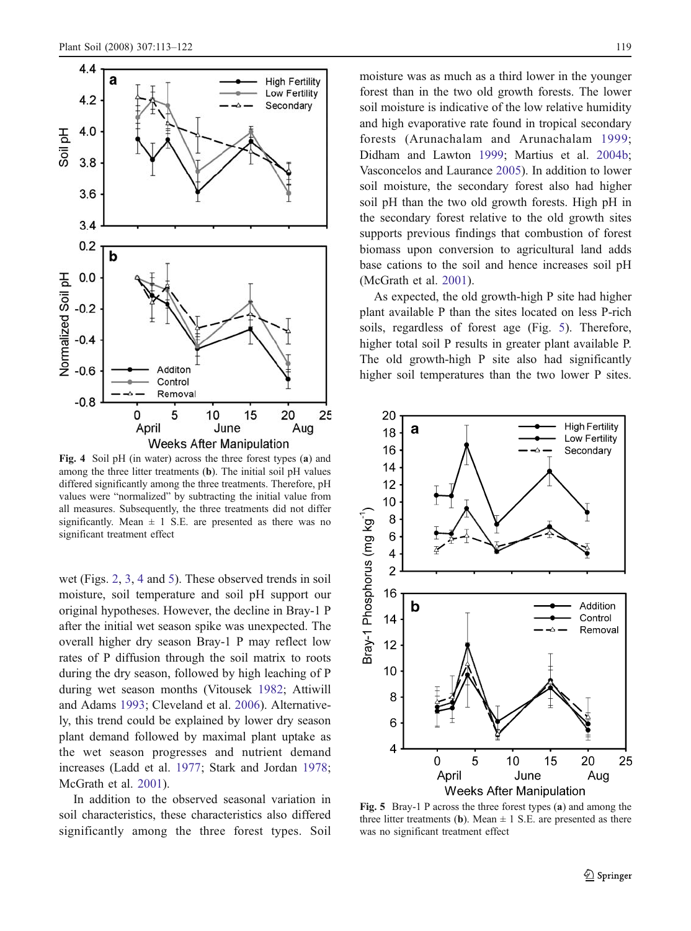<span id="page-6-0"></span>

Fig. 4 Soil pH (in water) across the three forest types (a) and among the three litter treatments (b). The initial soil pH values differed significantly among the three treatments. Therefore, pH values were "normalized" by subtracting the initial value from all measures. Subsequently, the three treatments did not differ significantly. Mean  $\pm$  1 S.E. are presented as there was no significant treatment effect

wet (Figs. [2](#page-5-0), [3](#page-5-0), 4 and 5). These observed trends in soil moisture, soil temperature and soil pH support our original hypotheses. However, the decline in Bray-1 P after the initial wet season spike was unexpected. The overall higher dry season Bray-1 P may reflect low rates of P diffusion through the soil matrix to roots during the dry season, followed by high leaching of P during wet season months (Vitousek [1982](#page-9-0); Attiwill and Adams [1993](#page-8-0); Cleveland et al. [2006](#page-8-0)). Alternatively, this trend could be explained by lower dry season plant demand followed by maximal plant uptake as the wet season progresses and nutrient demand increases (Ladd et al. [1977](#page-8-0); Stark and Jordan [1978](#page-9-0); McGrath et al. [2001](#page-8-0)).

In addition to the observed seasonal variation in soil characteristics, these characteristics also differed significantly among the three forest types. Soil moisture was as much as a third lower in the younger forest than in the two old growth forests. The lower soil moisture is indicative of the low relative humidity and high evaporative rate found in tropical secondary forests (Arunachalam and Arunachalam [1999](#page-8-0); Didham and Lawton [1999](#page-8-0); Martius et al. [2004b](#page-8-0); Vasconcelos and Laurance [2005](#page-9-0)). In addition to lower soil moisture, the secondary forest also had higher soil pH than the two old growth forests. High pH in the secondary forest relative to the old growth sites supports previous findings that combustion of forest biomass upon conversion to agricultural land adds base cations to the soil and hence increases soil pH (McGrath et al. [2001](#page-8-0)).

As expected, the old growth-high P site had higher plant available P than the sites located on less P-rich soils, regardless of forest age (Fig. 5). Therefore, higher total soil P results in greater plant available P. The old growth-high P site also had significantly higher soil temperatures than the two lower P sites.



Fig. 5 Bray-1 P across the three forest types (a) and among the three litter treatments (b). Mean  $\pm$  1 S.E. are presented as there was no significant treatment effect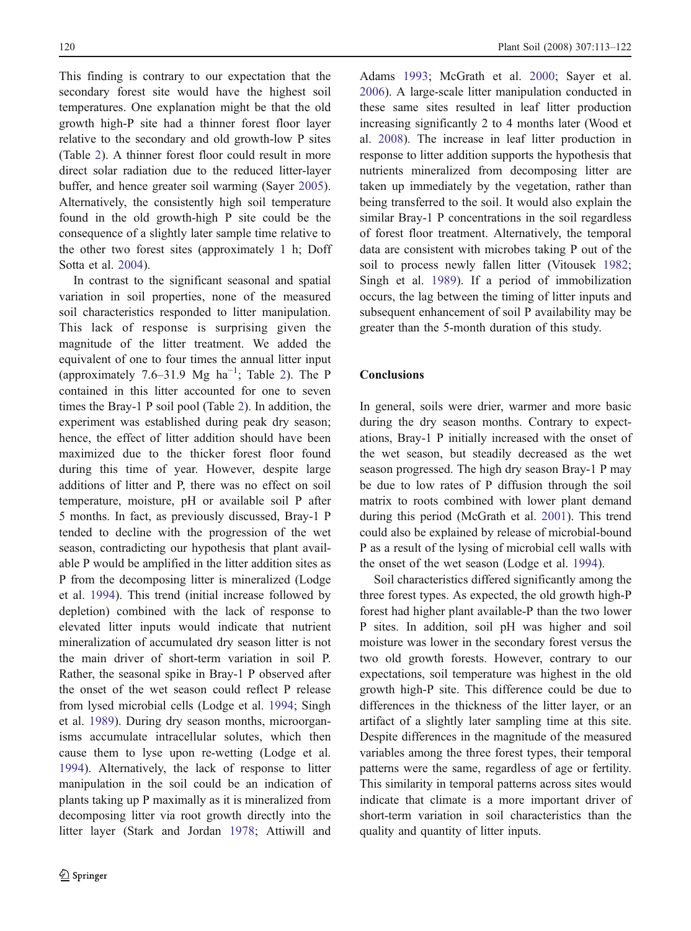This finding is contrary to our expectation that the secondary forest site would have the highest soil temperatures. One explanation might be that the old growth high-P site had a thinner forest floor layer relative to the secondary and old growth-low P sites (Table [2](#page-3-0)). A thinner forest floor could result in more direct solar radiation due to the reduced litter-layer buffer, and hence greater soil warming (Sayer [2005](#page-9-0)). Alternatively, the consistently high soil temperature found in the old growth-high P site could be the consequence of a slightly later sample time relative to the other two forest sites (approximately 1 h; Doff Sotta et al. [2004](#page-8-0)).

In contrast to the significant seasonal and spatial variation in soil properties, none of the measured soil characteristics responded to litter manipulation. This lack of response is surprising given the magnitude of the litter treatment. We added the equivalent of one to four times the annual litter input (approximately 7.6–31.9 Mg  $ha^{-1}$ ; Table [2](#page-3-0)). The P contained in this litter accounted for one to seven times the Bray-1 P soil pool (Table [2](#page-3-0)). In addition, the experiment was established during peak dry season; hence, the effect of litter addition should have been maximized due to the thicker forest floor found during this time of year. However, despite large additions of litter and P, there was no effect on soil temperature, moisture, pH or available soil P after 5 months. In fact, as previously discussed, Bray-1 P tended to decline with the progression of the wet season, contradicting our hypothesis that plant available P would be amplified in the litter addition sites as P from the decomposing litter is mineralized (Lodge et al. [1994](#page-8-0)). This trend (initial increase followed by depletion) combined with the lack of response to elevated litter inputs would indicate that nutrient mineralization of accumulated dry season litter is not the main driver of short-term variation in soil P. Rather, the seasonal spike in Bray-1 P observed after the onset of the wet season could reflect P release from lysed microbial cells (Lodge et al. [1994](#page-8-0); Singh et al. [1989](#page-9-0)). During dry season months, microorganisms accumulate intracellular solutes, which then cause them to lyse upon re-wetting (Lodge et al. [1994](#page-8-0)). Alternatively, the lack of response to litter manipulation in the soil could be an indication of plants taking up P maximally as it is mineralized from decomposing litter via root growth directly into the litter layer (Stark and Jordan [1978](#page-9-0); Attiwill and Adams [1993](#page-8-0); McGrath et al. [2000](#page-8-0); Sayer et al. [2006](#page-9-0)). A large-scale litter manipulation conducted in these same sites resulted in leaf litter production increasing significantly 2 to 4 months later (Wood et al. [2008](#page-9-0)). The increase in leaf litter production in response to litter addition supports the hypothesis that nutrients mineralized from decomposing litter are taken up immediately by the vegetation, rather than being transferred to the soil. It would also explain the similar Bray-1 P concentrations in the soil regardless of forest floor treatment. Alternatively, the temporal data are consistent with microbes taking P out of the soil to process newly fallen litter (Vitousek [1982](#page-9-0); Singh et al. [1989](#page-9-0)). If a period of immobilization occurs, the lag between the timing of litter inputs and subsequent enhancement of soil P availability may be greater than the 5-month duration of this study.

# **Conclusions**

In general, soils were drier, warmer and more basic during the dry season months. Contrary to expectations, Bray-1 P initially increased with the onset of the wet season, but steadily decreased as the wet season progressed. The high dry season Bray-1 P may be due to low rates of P diffusion through the soil matrix to roots combined with lower plant demand during this period (McGrath et al. [2001](#page-8-0)). This trend could also be explained by release of microbial-bound P as a result of the lysing of microbial cell walls with the onset of the wet season (Lodge et al. [1994](#page-8-0)).

Soil characteristics differed significantly among the three forest types. As expected, the old growth high-P forest had higher plant available-P than the two lower P sites. In addition, soil pH was higher and soil moisture was lower in the secondary forest versus the two old growth forests. However, contrary to our expectations, soil temperature was highest in the old growth high-P site. This difference could be due to differences in the thickness of the litter layer, or an artifact of a slightly later sampling time at this site. Despite differences in the magnitude of the measured variables among the three forest types, their temporal patterns were the same, regardless of age or fertility. This similarity in temporal patterns across sites would indicate that climate is a more important driver of short-term variation in soil characteristics than the quality and quantity of litter inputs.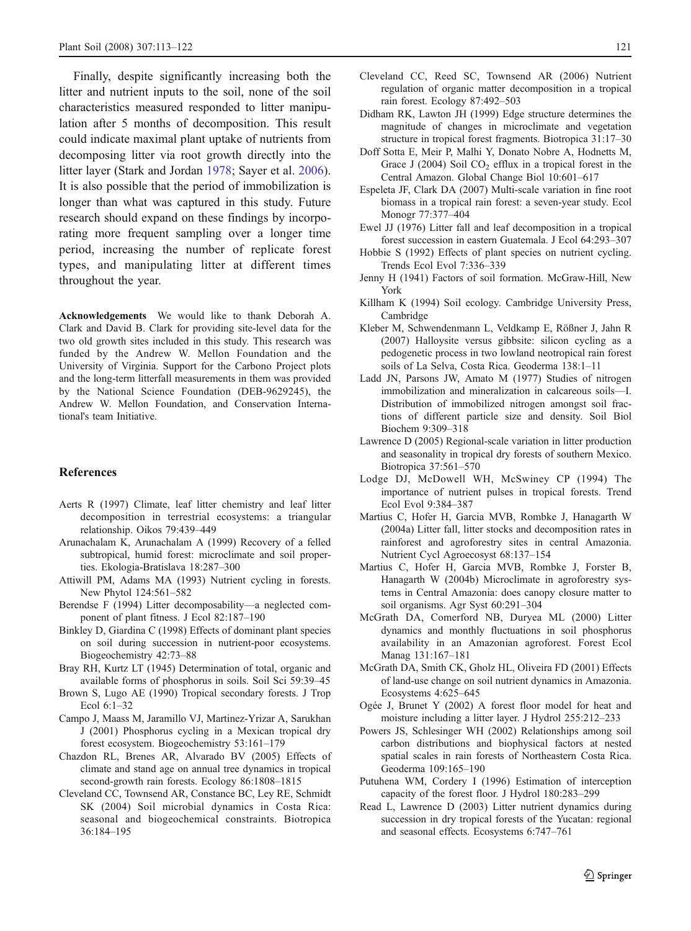<span id="page-8-0"></span>Finally, despite significantly increasing both the litter and nutrient inputs to the soil, none of the soil characteristics measured responded to litter manipulation after 5 months of decomposition. This result could indicate maximal plant uptake of nutrients from decomposing litter via root growth directly into the litter layer (Stark and Jordan [1978](#page-9-0); Sayer et al. [2006](#page-9-0)). It is also possible that the period of immobilization is longer than what was captured in this study. Future research should expand on these findings by incorporating more frequent sampling over a longer time period, increasing the number of replicate forest types, and manipulating litter at different times throughout the year.

Acknowledgements We would like to thank Deborah A. Clark and David B. Clark for providing site-level data for the two old growth sites included in this study. This research was funded by the Andrew W. Mellon Foundation and the University of Virginia. Support for the Carbono Project plots and the long-term litterfall measurements in them was provided by the National Science Foundation (DEB-9629245), the Andrew W. Mellon Foundation, and Conservation International's team Initiative.

## References

- Aerts R (1997) Climate, leaf litter chemistry and leaf litter decomposition in terrestrial ecosystems: a triangular relationship. Oikos 79:439–449
- Arunachalam K, Arunachalam A (1999) Recovery of a felled subtropical, humid forest: microclimate and soil properties. Ekologia-Bratislava 18:287–300
- Attiwill PM, Adams MA (1993) Nutrient cycling in forests. New Phytol 124:561–582
- Berendse F (1994) Litter decomposability—a neglected component of plant fitness. J Ecol 82:187–190
- Binkley D, Giardina C (1998) Effects of dominant plant species on soil during succession in nutrient-poor ecosystems. Biogeochemistry 42:73–88
- Bray RH, Kurtz LT (1945) Determination of total, organic and available forms of phosphorus in soils. Soil Sci 59:39–45
- Brown S, Lugo AE (1990) Tropical secondary forests. J Trop Ecol 6:1–32
- Campo J, Maass M, Jaramillo VJ, Martinez-Yrizar A, Sarukhan J (2001) Phosphorus cycling in a Mexican tropical dry forest ecosystem. Biogeochemistry 53:161–179
- Chazdon RL, Brenes AR, Alvarado BV (2005) Effects of climate and stand age on annual tree dynamics in tropical second-growth rain forests. Ecology 86:1808–1815
- Cleveland CC, Townsend AR, Constance BC, Ley RE, Schmidt SK (2004) Soil microbial dynamics in Costa Rica: seasonal and biogeochemical constraints. Biotropica 36:184–195
- Cleveland CC, Reed SC, Townsend AR (2006) Nutrient regulation of organic matter decomposition in a tropical rain forest. Ecology 87:492–503
- Didham RK, Lawton JH (1999) Edge structure determines the magnitude of changes in microclimate and vegetation structure in tropical forest fragments. Biotropica 31:17–30
- Doff Sotta E, Meir P, Malhi Y, Donato Nobre A, Hodnetts M, Grace J (2004) Soil  $CO<sub>2</sub>$  efflux in a tropical forest in the Central Amazon. Global Change Biol 10:601–617
- Espeleta JF, Clark DA (2007) Multi-scale variation in fine root biomass in a tropical rain forest: a seven-year study. Ecol Monogr 77:377–404
- Ewel JJ (1976) Litter fall and leaf decomposition in a tropical forest succession in eastern Guatemala. J Ecol 64:293–307
- Hobbie S (1992) Effects of plant species on nutrient cycling. Trends Ecol Evol 7:336–339
- Jenny H (1941) Factors of soil formation. McGraw-Hill, New York
- Killham K (1994) Soil ecology. Cambridge University Press, Cambridge
- Kleber M, Schwendenmann L, Veldkamp E, Rößner J, Jahn R (2007) Halloysite versus gibbsite: silicon cycling as a pedogenetic process in two lowland neotropical rain forest soils of La Selva, Costa Rica. Geoderma 138:1–11
- Ladd JN, Parsons JW, Amato M (1977) Studies of nitrogen immobilization and mineralization in calcareous soils—I. Distribution of immobilized nitrogen amongst soil fractions of different particle size and density. Soil Biol Biochem 9:309–318
- Lawrence D (2005) Regional-scale variation in litter production and seasonality in tropical dry forests of southern Mexico. Biotropica 37:561–570
- Lodge DJ, McDowell WH, McSwiney CP (1994) The importance of nutrient pulses in tropical forests. Trend Ecol Evol 9:384–387
- Martius C, Hofer H, Garcia MVB, Rombke J, Hanagarth W (2004a) Litter fall, litter stocks and decomposition rates in rainforest and agroforestry sites in central Amazonia. Nutrient Cycl Agroecosyst 68:137–154
- Martius C, Hofer H, Garcia MVB, Rombke J, Forster B, Hanagarth W (2004b) Microclimate in agroforestry systems in Central Amazonia: does canopy closure matter to soil organisms. Agr Syst 60:291–304
- McGrath DA, Comerford NB, Duryea ML (2000) Litter dynamics and monthly fluctuations in soil phosphorus availability in an Amazonian agroforest. Forest Ecol Manag 131:167–181
- McGrath DA, Smith CK, Gholz HL, Oliveira FD (2001) Effects of land-use change on soil nutrient dynamics in Amazonia. Ecosystems 4:625–645
- Ogée J, Brunet Y (2002) A forest floor model for heat and moisture including a litter layer. J Hydrol 255:212–233
- Powers JS, Schlesinger WH (2002) Relationships among soil carbon distributions and biophysical factors at nested spatial scales in rain forests of Northeastern Costa Rica. Geoderma 109:165–190
- Putuhena WM, Cordery I (1996) Estimation of interception capacity of the forest floor. J Hydrol 180:283–299
- Read L, Lawrence D (2003) Litter nutrient dynamics during succession in dry tropical forests of the Yucatan: regional and seasonal effects. Ecosystems 6:747–761